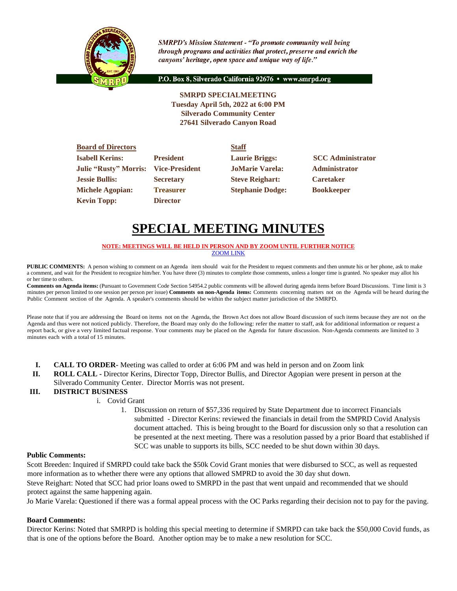

**SMRPD's Mission Statement - "To promote community well being** through programs and activities that protect, preserve and enrich the canyons' heritage, open space and unique way of life."

P.O. Box 8, Silverado California 92676 · www.smrpd.org

**SMRPD SPECIALMEETING Tuesday April 5th, 2022 at 6:00 PM Silverado Community Center 27641 Silverado Canyon Road**

| <b>Board of Directors</b>    |                       | <b>Staff</b>            |                          |
|------------------------------|-----------------------|-------------------------|--------------------------|
| <b>Isabell Kerins:</b>       | <b>President</b>      | <b>Laurie Briggs:</b>   | <b>SCC</b> Administrator |
| <b>Julie "Rusty" Morris:</b> | <b>Vice-President</b> | <b>JoMarie Varela:</b>  | <b>Administrator</b>     |
| <b>Jessie Bullis:</b>        | <b>Secretary</b>      | <b>Steve Reighart:</b>  | <b>Caretaker</b>         |
| <b>Michele Agopian:</b>      | <b>Treasurer</b>      | <b>Stephanie Dodge:</b> | <b>Bookkeeper</b>        |
| <b>Kevin Topp:</b>           | <b>Director</b>       |                         |                          |

# **SPECIAL MEETING MINUTES**

#### **NOTE: MEETINGS WILL BE HELD IN PERSON AND BY ZOOM UNTIL FURTHER NOTICE** [ZOOM LINK](https://zoom.us/j/99049794367)

**PUBLIC COMMENTS:** A person wishing to comment on an Agenda item should wait for the President to request comments and then unmute his or her phone, ask to make a comment, and wait for the President to recognize him/her. You have three (3) minutes to complete those comments, unless a longer time is granted. No speaker may allot his or her time to others.

**Comments on Agenda items:** (Pursuant to Government Code Section 54954.2 public comments will be allowed during agenda items before Board Discussions. Time limit is 3 minutes per person limited to one session per person per issue) **Comments on non-Agenda items:** Comments concerning matters not on the Agenda will be heard during the Public Comment section of the Agenda. A speaker's comments should be within the subject matter jurisdiction of the SMRPD.

Please note that if you are addressing the Board on items not on the Agenda, the Brown Act does not allow Board discussion of such items because they are not on the Agenda and thus were not noticed publicly. Therefore, the Board may only do the following: refer the matter to staff, ask for additional information or request a report back, or give a very limited factual response. Your comments may be placed on the Agenda for future discussion. Non-Agenda comments are limited to 3 minutes each with a total of 15 minutes.

- **I. CALL TO ORDER-** Meeting was called to order at 6:06 PM and was held in person and on Zoom link
- **II. ROLL CALL -** Director Kerins, Director Topp, Director Bullis, and Director Agopian were present in person at the Silverado Community Center. Director Morris was not present.

# **III. DISTRICT BUSINESS**

- i. Covid Grant
	- 1. Discussion on return of \$57,336 required by State Department due to incorrect Financials submitted - Director Kerins: reviewed the financials in detail from the SMPRD Covid Analysis document attached. This is being brought to the Board for discussion only so that a resolution can be presented at the next meeting. There was a resolution passed by a prior Board that established if SCC was unable to supports its bills, SCC needed to be shut down within 30 days.

#### **Public Comments:**

Scott Breeden: Inquired if SMRPD could take back the \$50k Covid Grant monies that were disbursed to SCC, as well as requested more information as to whether there were any options that allowed SMPRD to avoid the 30 day shut down.

Steve Reighart: Noted that SCC had prior loans owed to SMRPD in the past that went unpaid and recommended that we should protect against the same happening again.

Jo Marie Varela: Questioned if there was a formal appeal process with the OC Parks regarding their decision not to pay for the paving.

#### **Board Comments:**

Director Kerins: Noted that SMRPD is holding this special meeting to determine if SMRPD can take back the \$50,000 Covid funds, as that is one of the options before the Board. Another option may be to make a new resolution for SCC.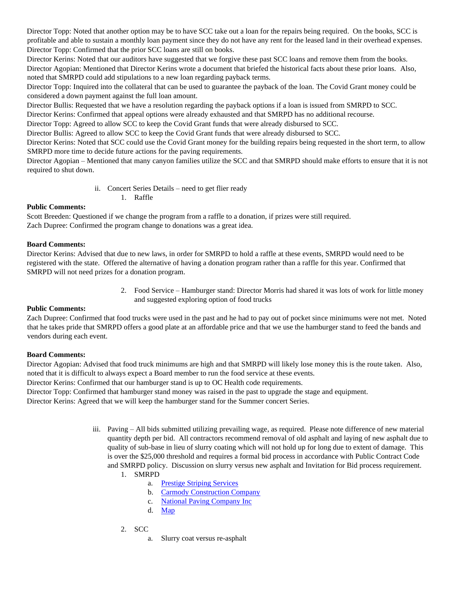Director Topp: Noted that another option may be to have SCC take out a loan for the repairs being required. On the books, SCC is profitable and able to sustain a monthly loan payment since they do not have any rent for the leased land in their overhead expenses. Director Topp: Confirmed that the prior SCC loans are still on books.

Director Kerins: Noted that our auditors have suggested that we forgive these past SCC loans and remove them from the books. Director Agopian: Mentioned that Director Kerins wrote a document that briefed the historical facts about these prior loans. Also, noted that SMRPD could add stipulations to a new loan regarding payback terms.

Director Topp: Inquired into the collateral that can be used to guarantee the payback of the loan. The Covid Grant money could be considered a down payment against the full loan amount.

Director Bullis: Requested that we have a resolution regarding the payback options if a loan is issued from SMRPD to SCC.

Director Kerins: Confirmed that appeal options were already exhausted and that SMRPD has no additional recourse.

Director Topp: Agreed to allow SCC to keep the Covid Grant funds that were already disbursed to SCC.

Director Bullis: Agreed to allow SCC to keep the Covid Grant funds that were already disbursed to SCC.

Director Kerins: Noted that SCC could use the Covid Grant money for the building repairs being requested in the short term, to allow SMRPD more time to decide future actions for the paving requirements.

Director Agopian – Mentioned that many canyon families utilize the SCC and that SMRPD should make efforts to ensure that it is not required to shut down.

- ii. Concert Series Details need to get flier ready
	- 1. Raffle

#### **Public Comments:**

Scott Breeden: Questioned if we change the program from a raffle to a donation, if prizes were still required. Zach Dupree: Confirmed the program change to donations was a great idea.

#### **Board Comments:**

Director Kerins: Advised that due to new laws, in order for SMRPD to hold a raffle at these events, SMRPD would need to be registered with the state. Offered the alternative of having a donation program rather than a raffle for this year. Confirmed that SMRPD will not need prizes for a donation program.

> 2. Food Service – Hamburger stand: Director Morris had shared it was lots of work for little money and suggested exploring option of food trucks

#### **Public Comments:**

Zach Dupree: Confirmed that food trucks were used in the past and he had to pay out of pocket since minimums were not met. Noted that he takes pride that SMRPD offers a good plate at an affordable price and that we use the hamburger stand to feed the bands and vendors during each event.

#### **Board Comments:**

Director Agopian: Advised that food truck minimums are high and that SMRPD will likely lose money this is the route taken. Also, noted that it is difficult to always expect a Board member to run the food service at these events.

Director Kerins: Confirmed that our hamburger stand is up to OC Health code requirements.

Director Topp: Confirmed that hamburger stand money was raised in the past to upgrade the stage and equipment.

Director Kerins: Agreed that we will keep the hamburger stand for the Summer concert Series.

- iii. Paving All bids submitted utilizing prevailing wage, as required. Please note difference of new material quantity depth per bid. All contractors recommend removal of old asphalt and laying of new asphalt due to quality of sub-base in lieu of slurry coating which will not hold up for long due to extent of damage. This is over the \$25,000 threshold and requires a formal bid process in accordance with Public Contract Code and SMRPD policy. Discussion on slurry versus new asphalt and Invitation for Bid process requirement.
	- 1. SMRPD
		- a. [Prestige Striping Services](https://1drv.ms/b/s!An_OKisCbP0FnEmEfPGrvHnYCBEF?e=HwWhq3)
		- b. [Carmody Construction Company](https://1drv.ms/b/s!An_OKisCbP0FnD371Md0BTss8Xgm?e=apNpWe)
		- c. [National Paving Company Inc](https://1drv.ms/b/s!An_OKisCbP0FnD9iVn9tF9XaDNYn?e=YAqaTy)
		- d. [Map](https://1drv.ms/b/s!An_OKisCbP0FnD69bNe9EcIIW4rf?e=huAcq0)
	- 2. SCC
		- a. Slurry coat versus re-asphalt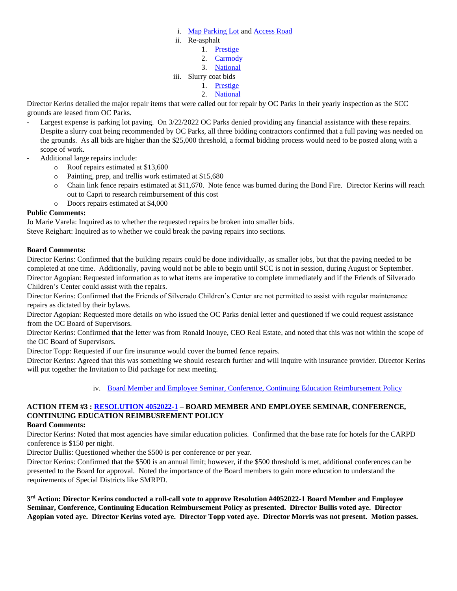- i. [Map Parking Lot](https://1drv.ms/b/s!An_OKisCbP0FnEVFzotwajFa6cH_?e=YuCNWx) and [Access Road](https://1drv.ms/b/s!An_OKisCbP0FnEa-I6abh0HmUq_n?e=bidUCR)
- ii. Re-asphalt
	- 1. [Prestige](https://1drv.ms/b/s!An_OKisCbP0FnESfIDWzhgWXQxdI?e=EBGJIs)
	- 2. [Carmody](https://1drv.ms/b/s!An_OKisCbP0FnEL5amzizuidCMo2?e=iuWNKL)
	- 3. [National](https://1drv.ms/b/s!An_OKisCbP0FnEP9lqKQ_rAOClh-?e=p1WFtu)
- iii. Slurry coat bids
	- 1. [Prestige](https://1drv.ms/b/s!An_OKisCbP0FnEfGAPRl5XvG3DaU?e=ysA189)
	- 2. [National](https://1drv.ms/b/s!An_OKisCbP0FnEgrgytZ1XBxYLd9?e=SVbuDE)

Director Kerins detailed the major repair items that were called out for repair by OC Parks in their yearly inspection as the SCC grounds are leased from OC Parks.

- Largest expense is parking lot paving. On 3/22/2022 OC Parks denied providing any financial assistance with these repairs. Despite a slurry coat being recommended by OC Parks, all three bidding contractors confirmed that a full paving was needed on the grounds. As all bids are higher than the \$25,000 threshold, a formal bidding process would need to be posted along with a scope of work.
- Additional large repairs include:
	- o Roof repairs estimated at \$13,600
	- o Painting, prep, and trellis work estimated at \$15,680
	- o Chain link fence repairs estimated at \$11,670. Note fence was burned during the Bond Fire. Director Kerins will reach out to Capri to research reimbursement of this cost
	- o Doors repairs estimated at \$4,000

#### **Public Comments:**

Jo Marie Varela: Inquired as to whether the requested repairs be broken into smaller bids.

Steve Reighart: Inquired as to whether we could break the paving repairs into sections.

#### **Board Comments:**

Director Kerins: Confirmed that the building repairs could be done individually, as smaller jobs, but that the paving needed to be completed at one time. Additionally, paving would not be able to begin until SCC is not in session, during August or September. Director Agopian: Requested information as to what items are imperative to complete immediately and if the Friends of Silverado Children's Center could assist with the repairs.

Director Kerins: Confirmed that the Friends of Silverado Children's Center are not permitted to assist with regular maintenance repairs as dictated by their bylaws.

Director Agopian: Requested more details on who issued the OC Parks denial letter and questioned if we could request assistance from the OC Board of Supervisors.

Director Kerins: Confirmed that the letter was from Ronald Inouye, CEO Real Estate, and noted that this was not within the scope of the OC Board of Supervisors.

Director Topp: Requested if our fire insurance would cover the burned fence repairs.

Director Kerins: Agreed that this was something we should research further and will inquire with insurance provider. Director Kerins will put together the Invitation to Bid package for next meeting.

# iv. [Board Member and Employee Seminar, Conference, Continuing Education Reimbursement Policy](https://1drv.ms/w/s!An_OKisCbP0FnEzvFbvZQxuaUcWQ?e=AIEJAr)

# **ACTION ITEM #3 : [RESOLUTION 4052022-1](https://1drv.ms/w/s!An_OKisCbP0FnEuYvrc4FWAdg--S?e=QP9ual) – BOARD MEMBER AND EMPLOYEE SEMINAR, CONFERENCE, CONTINUING EDUCATION REIMBUSREMENT POLICY**

#### **Board Comments:**

Director Kerins: Noted that most agencies have similar education policies. Confirmed that the base rate for hotels for the CARPD conference is \$150 per night.

Director Bullis: Questioned whether the \$500 is per conference or per year.

Director Kerins: Confirmed that the \$500 is an annual limit; however, if the \$500 threshold is met, additional conferences can be presented to the Board for approval. Noted the importance of the Board members to gain more education to understand the requirements of Special Districts like SMRPD.

**3 rd Action: Director Kerins conducted a roll-call vote to approve Resolution #4052022-1 Board Member and Employee Seminar, Conference, Continuing Education Reimbursement Policy as presented. Director Bullis voted aye. Director Agopian voted aye. Director Kerins voted aye. Director Topp voted aye. Director Morris was not present. Motion passes.**